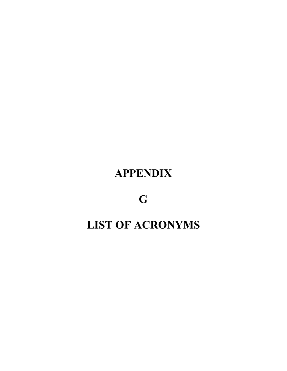## **APPENDIX**

**G**

## **LIST OF ACRONYMS**